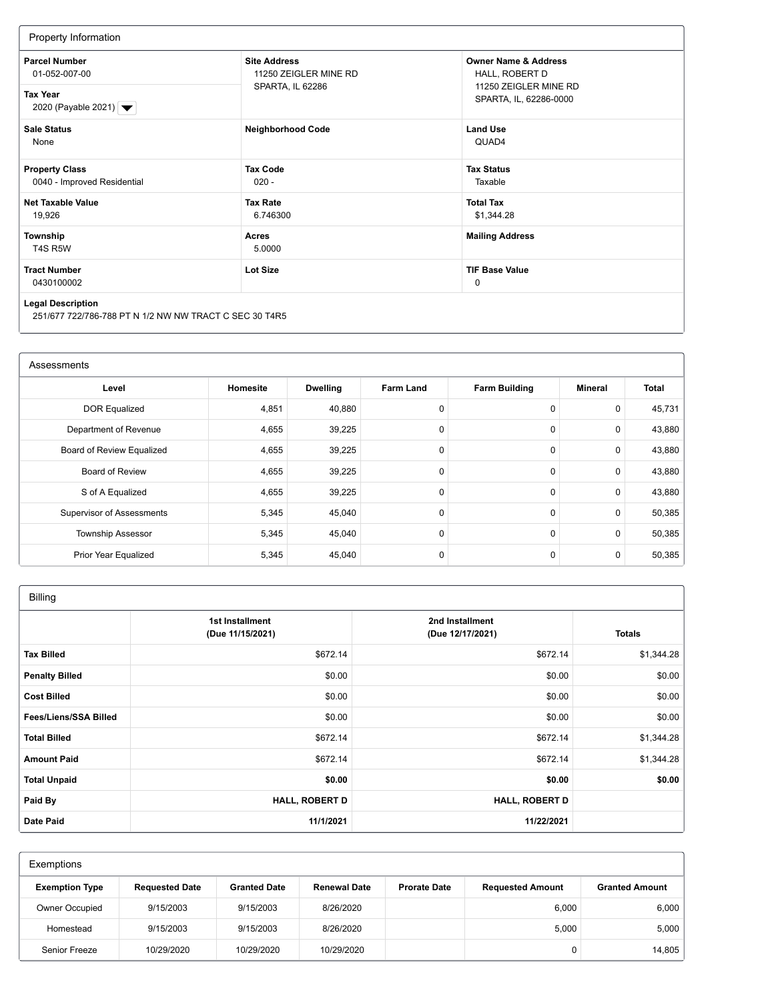| Property Information                                                               |                                              |                                                                                                      |  |
|------------------------------------------------------------------------------------|----------------------------------------------|------------------------------------------------------------------------------------------------------|--|
| <b>Parcel Number</b><br>01-052-007-00                                              | <b>Site Address</b><br>11250 ZEIGLER MINE RD | <b>Owner Name &amp; Address</b><br>HALL, ROBERT D<br>11250 ZEIGLER MINE RD<br>SPARTA, IL, 62286-0000 |  |
| <b>Tax Year</b><br>2020 (Payable 2021)   ▼                                         | SPARTA, IL 62286                             |                                                                                                      |  |
| <b>Sale Status</b><br>None                                                         | <b>Neighborhood Code</b>                     | <b>Land Use</b><br>QUAD4                                                                             |  |
| <b>Property Class</b><br>0040 - Improved Residential                               | <b>Tax Code</b><br>$020 -$                   | <b>Tax Status</b><br>Taxable                                                                         |  |
| Net Taxable Value<br>19,926                                                        | <b>Tax Rate</b><br>6.746300                  | <b>Total Tax</b><br>\$1,344.28                                                                       |  |
| Township<br>T4S R5W                                                                | Acres<br>5.0000                              | <b>Mailing Address</b>                                                                               |  |
| <b>Tract Number</b><br>0430100002                                                  | <b>Lot Size</b>                              | <b>TIF Base Value</b><br>0                                                                           |  |
| <b>Legal Description</b><br>251/677 722/786-788 PT N 1/2 NW NW TRACT C SEC 30 T4R5 |                                              |                                                                                                      |  |

| Assessments                      |          |                 |                  |                      |                |        |
|----------------------------------|----------|-----------------|------------------|----------------------|----------------|--------|
| Level                            | Homesite | <b>Dwelling</b> | <b>Farm Land</b> | <b>Farm Building</b> | <b>Mineral</b> | Total  |
| <b>DOR Equalized</b>             | 4,851    | 40,880          | 0                | 0                    | $\mathbf 0$    | 45,731 |
| Department of Revenue            | 4,655    | 39,225          | $\mathbf 0$      | 0                    | 0              | 43,880 |
| Board of Review Equalized        | 4,655    | 39,225          | $\mathbf 0$      | 0                    | $\mathbf 0$    | 43,880 |
| <b>Board of Review</b>           | 4,655    | 39,225          | $\mathbf 0$      | 0                    | $\mathbf 0$    | 43,880 |
| S of A Equalized                 | 4,655    | 39,225          | $\mathbf 0$      | $\mathbf 0$          | $\mathbf 0$    | 43,880 |
| <b>Supervisor of Assessments</b> | 5,345    | 45,040          | $\Omega$         | 0                    | $\mathbf 0$    | 50,385 |
| <b>Township Assessor</b>         | 5,345    | 45,040          | $\mathbf 0$      | 0                    | 0              | 50,385 |
| Prior Year Equalized             | 5,345    | 45,040          | $\mathbf 0$      | 0                    | 0              | 50,385 |

| <b>Billing</b>        |                                     |                                     |               |  |
|-----------------------|-------------------------------------|-------------------------------------|---------------|--|
|                       | 1st Installment<br>(Due 11/15/2021) | 2nd Installment<br>(Due 12/17/2021) | <b>Totals</b> |  |
| <b>Tax Billed</b>     | \$672.14                            | \$672.14                            | \$1,344.28    |  |
| <b>Penalty Billed</b> | \$0.00                              | \$0.00                              | \$0.00        |  |
| <b>Cost Billed</b>    | \$0.00                              | \$0.00                              | \$0.00        |  |
| Fees/Liens/SSA Billed | \$0.00                              | \$0.00                              | \$0.00        |  |
| <b>Total Billed</b>   | \$672.14                            | \$672.14                            | \$1,344.28    |  |
| <b>Amount Paid</b>    | \$672.14                            | \$672.14                            | \$1,344.28    |  |
| <b>Total Unpaid</b>   | \$0.00                              | \$0.00                              | \$0.00        |  |
| Paid By               | <b>HALL, ROBERT D</b>               | <b>HALL, ROBERT D</b>               |               |  |
| <b>Date Paid</b>      | 11/1/2021                           | 11/22/2021                          |               |  |

| Exemptions            |                       |                     |                     |                     |                         |                       |
|-----------------------|-----------------------|---------------------|---------------------|---------------------|-------------------------|-----------------------|
| <b>Exemption Type</b> | <b>Requested Date</b> | <b>Granted Date</b> | <b>Renewal Date</b> | <b>Prorate Date</b> | <b>Requested Amount</b> | <b>Granted Amount</b> |
| <b>Owner Occupied</b> | 9/15/2003             | 9/15/2003           | 8/26/2020           |                     | 6,000                   | 6,000                 |
| Homestead             | 9/15/2003             | 9/15/2003           | 8/26/2020           |                     | 5.000                   | 5,000                 |
| <b>Senior Freeze</b>  | 10/29/2020            | 10/29/2020          | 10/29/2020          |                     | 0                       | 14,805                |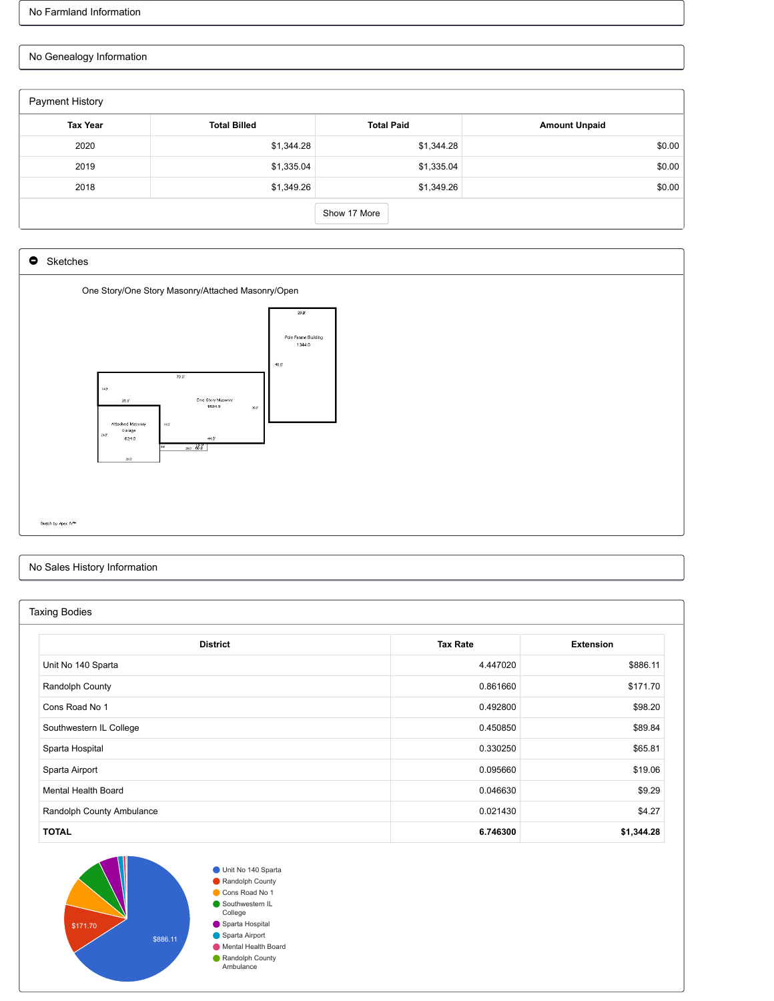## No Genealogy Information

| Payment History |                     |                   |                      |
|-----------------|---------------------|-------------------|----------------------|
| <b>Tax Year</b> | <b>Total Billed</b> | <b>Total Paid</b> | <b>Amount Unpaid</b> |
| 2020            | \$1,344.28          | \$1,344.28        | \$0.00               |
| 2019            | \$1,335.04          | \$1,335.04        | \$0.00               |
| 2018            | \$1,349.26          | \$1,349.26        | \$0.00               |
|                 |                     | Show 17 More      |                      |



## No Sales History Information

| <b>Taxing Bodies</b>       |                 |                  |  |  |  |
|----------------------------|-----------------|------------------|--|--|--|
|                            |                 |                  |  |  |  |
| <b>District</b>            | <b>Tax Rate</b> | <b>Extension</b> |  |  |  |
| Unit No 140 Sparta         | 4.447020        | \$886.11         |  |  |  |
| Randolph County            | 0.861660        | \$171.70         |  |  |  |
| Cons Road No 1             | 0.492800        | \$98.20          |  |  |  |
| Southwestern IL College    | 0.450850        | \$89.84          |  |  |  |
| Sparta Hospital            | 0.330250        | \$65.81          |  |  |  |
| Sparta Airport             | 0.095660        | \$19.06          |  |  |  |
| <b>Mental Health Board</b> | 0.046630        | \$9.29           |  |  |  |
| Randolph County Ambulance  | 0.021430        | \$4.27           |  |  |  |
| <b>TOTAL</b>               | 6.746300        | \$1,344.28       |  |  |  |